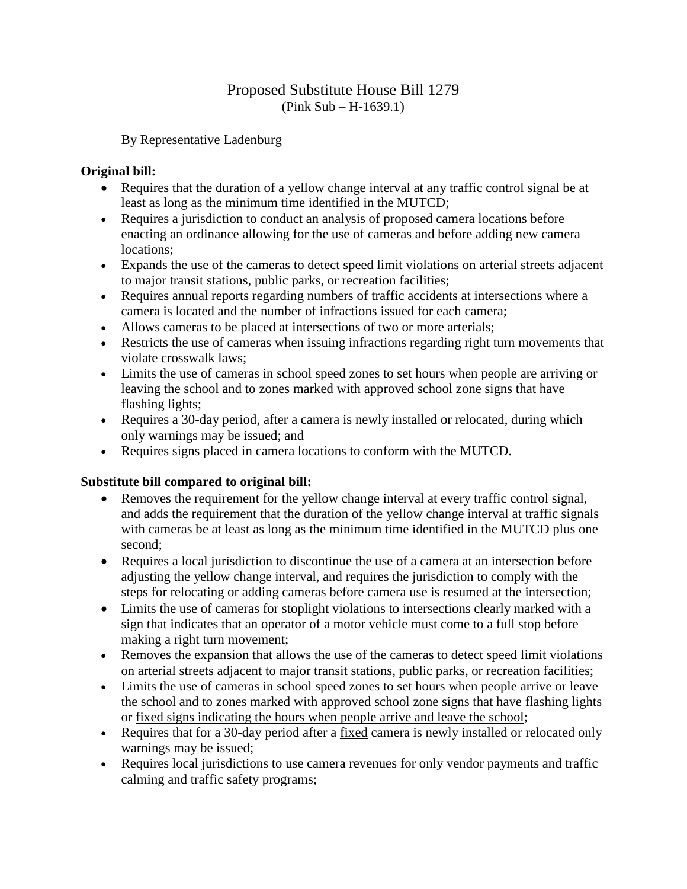## Proposed Substitute House Bill 1279 (Pink Sub – H-1639.1)

By Representative Ladenburg

## **Original bill:**

- Requires that the duration of a yellow change interval at any traffic control signal be at least as long as the minimum time identified in the MUTCD;
- Requires a jurisdiction to conduct an analysis of proposed camera locations before enacting an ordinance allowing for the use of cameras and before adding new camera locations;
- Expands the use of the cameras to detect speed limit violations on arterial streets adjacent to major transit stations, public parks, or recreation facilities;
- Requires annual reports regarding numbers of traffic accidents at intersections where a camera is located and the number of infractions issued for each camera;
- Allows cameras to be placed at intersections of two or more arterials;
- Restricts the use of cameras when issuing infractions regarding right turn movements that violate crosswalk laws;
- Limits the use of cameras in school speed zones to set hours when people are arriving or leaving the school and to zones marked with approved school zone signs that have flashing lights;
- Requires a 30-day period, after a camera is newly installed or relocated, during which only warnings may be issued; and
- Requires signs placed in camera locations to conform with the MUTCD.

## **Substitute bill compared to original bill:**

- Removes the requirement for the yellow change interval at every traffic control signal, and adds the requirement that the duration of the yellow change interval at traffic signals with cameras be at least as long as the minimum time identified in the MUTCD plus one second;
- Requires a local jurisdiction to discontinue the use of a camera at an intersection before adjusting the yellow change interval, and requires the jurisdiction to comply with the steps for relocating or adding cameras before camera use is resumed at the intersection;
- Limits the use of cameras for stoplight violations to intersections clearly marked with a sign that indicates that an operator of a motor vehicle must come to a full stop before making a right turn movement;
- Removes the expansion that allows the use of the cameras to detect speed limit violations on arterial streets adjacent to major transit stations, public parks, or recreation facilities;
- Limits the use of cameras in school speed zones to set hours when people arrive or leave the school and to zones marked with approved school zone signs that have flashing lights or fixed signs indicating the hours when people arrive and leave the school;
- Requires that for a 30-day period after a fixed camera is newly installed or relocated only warnings may be issued;
- Requires local jurisdictions to use camera revenues for only vendor payments and traffic calming and traffic safety programs;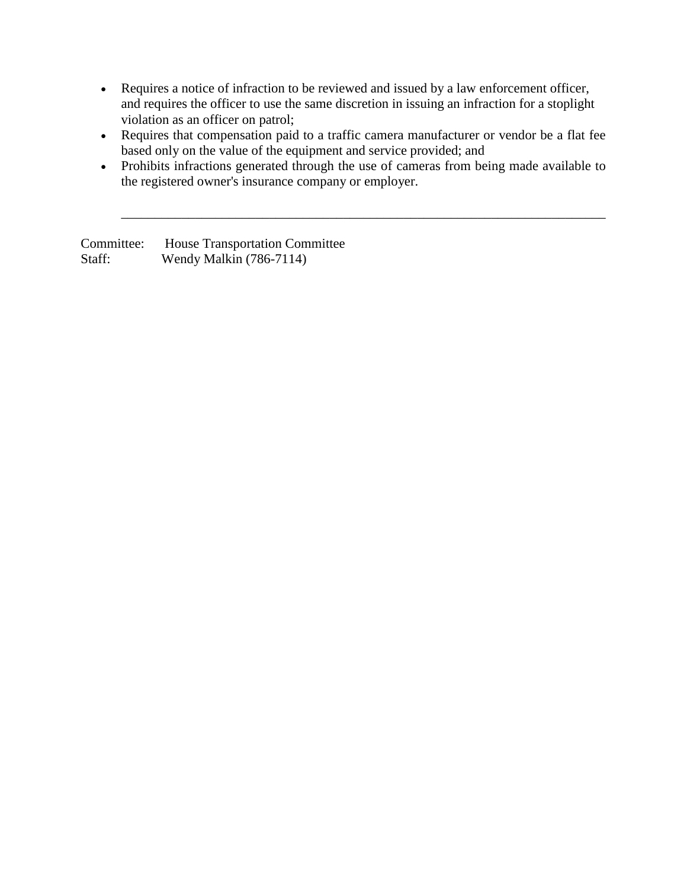- Requires a notice of infraction to be reviewed and issued by a law enforcement officer, and requires the officer to use the same discretion in issuing an infraction for a stoplight violation as an officer on patrol;
- Requires that compensation paid to a traffic camera manufacturer or vendor be a flat fee based only on the value of the equipment and service provided; and
- Prohibits infractions generated through the use of cameras from being made available to the registered owner's insurance company or employer.

\_\_\_\_\_\_\_\_\_\_\_\_\_\_\_\_\_\_\_\_\_\_\_\_\_\_\_\_\_\_\_\_\_\_\_\_\_\_\_\_\_\_\_\_\_\_\_\_\_\_\_\_\_\_\_\_\_\_\_\_\_\_\_\_\_\_\_\_\_\_\_\_

Committee: House Transportation Committee Staff: Wendy Malkin (786-7114)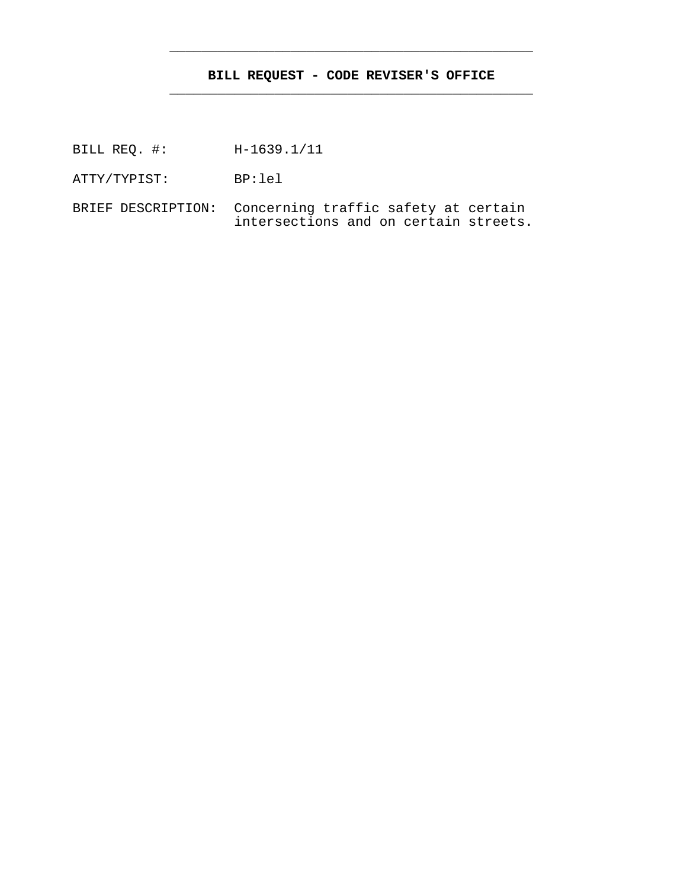## **BILL REQUEST - CODE REVISER'S OFFICE** \_\_\_\_\_\_\_\_\_\_\_\_\_\_\_\_\_\_\_\_\_\_\_\_\_\_\_\_\_\_\_\_\_\_\_\_\_\_\_\_\_\_\_\_\_

\_\_\_\_\_\_\_\_\_\_\_\_\_\_\_\_\_\_\_\_\_\_\_\_\_\_\_\_\_\_\_\_\_\_\_\_\_\_\_\_\_\_\_\_\_

BILL REQ. #: H-1639.1/11

ATTY/TYPIST: BP:lel

BRIEF DESCRIPTION: Concerning traffic safety at certain intersections and on certain streets.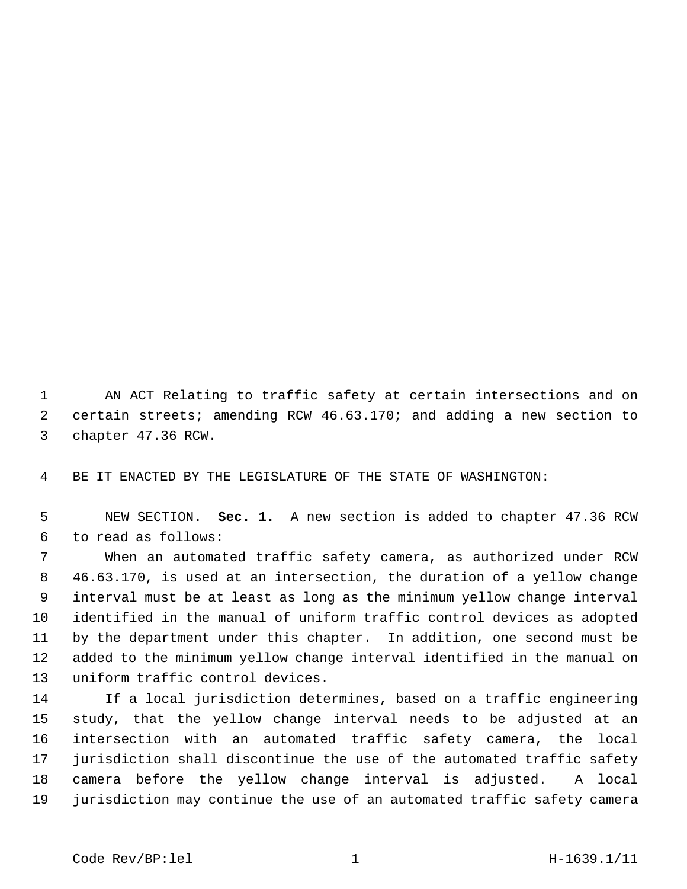1 AN ACT Relating to traffic safety at certain intersections and on 2 certain streets; amending RCW 46.63.170; and adding a new section to 3 chapter 47.36 RCW.

4 BE IT ENACTED BY THE LEGISLATURE OF THE STATE OF WASHINGTON:

 5 NEW SECTION. **Sec. 1.** A new section is added to chapter 47.36 RCW 6 to read as follows:

 7 When an automated traffic safety camera, as authorized under RCW 8 46.63.170, is used at an intersection, the duration of a yellow change 9 interval must be at least as long as the minimum yellow change interval 10 identified in the manual of uniform traffic control devices as adopted 11 by the department under this chapter. In addition, one second must be 12 added to the minimum yellow change interval identified in the manual on 13 uniform traffic control devices.

14 If a local jurisdiction determines, based on a traffic engineering 15 study, that the yellow change interval needs to be adjusted at an 16 intersection with an automated traffic safety camera, the local 17 jurisdiction shall discontinue the use of the automated traffic safety 18 camera before the yellow change interval is adjusted. A local 19 jurisdiction may continue the use of an automated traffic safety camera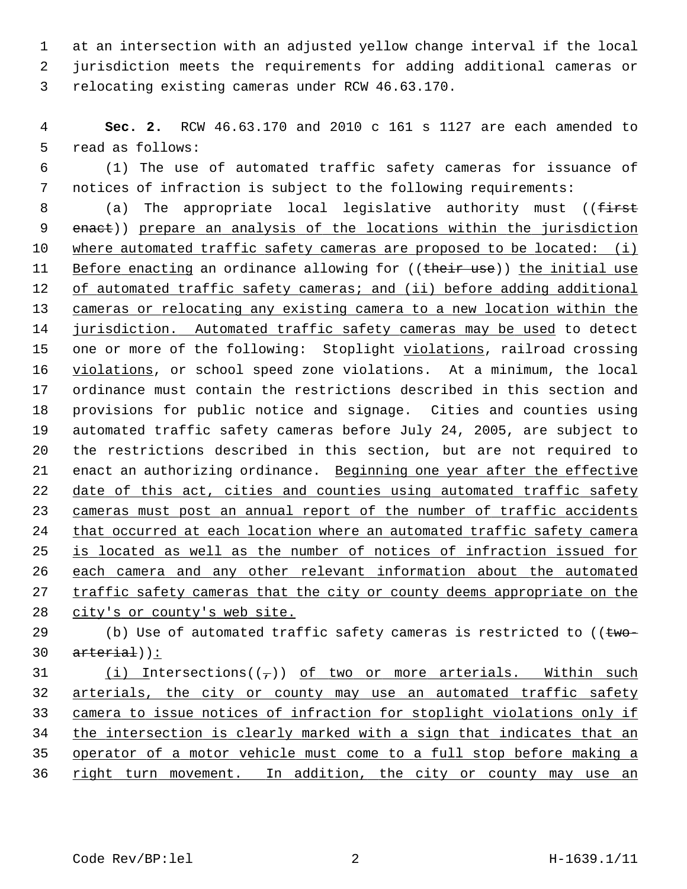1 at an intersection with an adjusted yellow change interval if the local 2 jurisdiction meets the requirements for adding additional cameras or 3 relocating existing cameras under RCW 46.63.170.

 4 **Sec. 2.** RCW 46.63.170 and 2010 c 161 s 1127 are each amended to 5 read as follows:

 6 (1) The use of automated traffic safety cameras for issuance of 7 notices of infraction is subject to the following requirements:

8 (a) The appropriate local legislative authority must ((first 9 enact)) prepare an analysis of the locations within the jurisdiction 10 where automated traffic safety cameras are proposed to be located: (i) 11 Before enacting an ordinance allowing for ((their use)) the initial use 12 of automated traffic safety cameras; and (ii) before adding additional 13 cameras or relocating any existing camera to a new location within the 14 jurisdiction. Automated traffic safety cameras may be used to detect 15 one or more of the following: Stoplight violations, railroad crossing 16 violations, or school speed zone violations. At a minimum, the local 17 ordinance must contain the restrictions described in this section and 18 provisions for public notice and signage. Cities and counties using 19 automated traffic safety cameras before July 24, 2005, are subject to 20 the restrictions described in this section, but are not required to 21 enact an authorizing ordinance. Beginning one year after the effective 22 date of this act, cities and counties using automated traffic safety 23 cameras must post an annual report of the number of traffic accidents 24 that occurred at each location where an automated traffic safety camera 25 is located as well as the number of notices of infraction issued for 26 each camera and any other relevant information about the automated 27 traffic safety cameras that the city or county deems appropriate on the 28 city's or county's web site.

29 (b) Use of automated traffic safety cameras is restricted to ( $t_{w0}$ - $30 \quad \text{arterial}$ ):

31 (i) Intersections( $(\tau)$ ) of two or more arterials. Within such arterials, the city or county may use an automated traffic safety camera to issue notices of infraction for stoplight violations only if the intersection is clearly marked with a sign that indicates that an operator of a motor vehicle must come to a full stop before making a right turn movement. In addition, the city or county may use an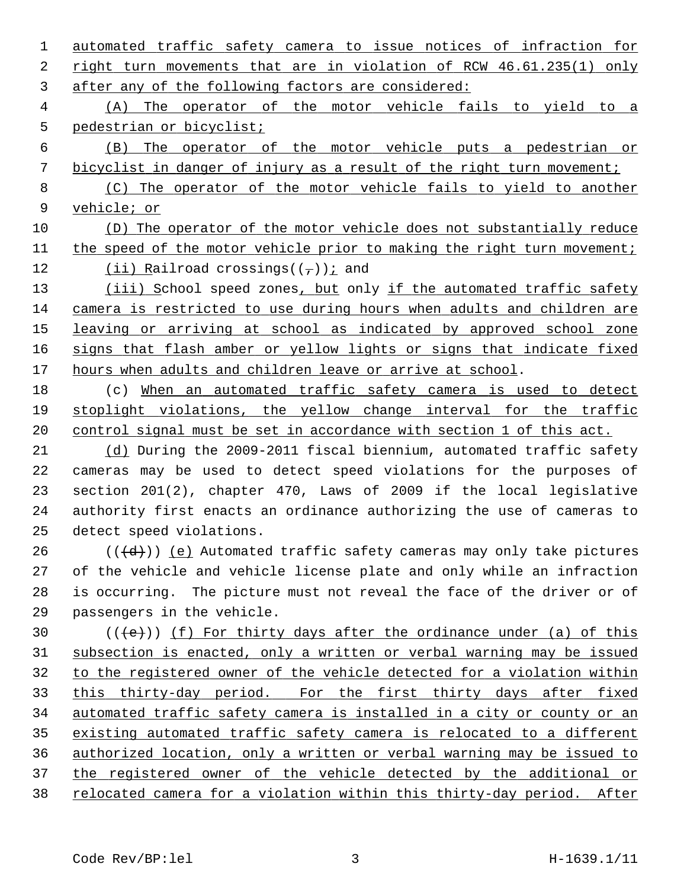automated traffic safety camera to issue notices of infraction for right turn movements that are in violation of RCW 46.61.235(1) only after any of the following factors are considered: (A) The operator of the motor vehicle fails to yield to a pedestrian or bicyclist; (B) The operator of the motor vehicle puts a pedestrian or bicyclist in danger of injury as a result of the right turn movement; (C) The operator of the motor vehicle fails to yield to another vehicle; or (D) The operator of the motor vehicle does not substantially reduce 11 the speed of the motor vehicle prior to making the right turn movement; 12 (ii) Railroad crossings( $(\frac{\tau}{l})$ ); and (iii) School speed zones, but only if the automated traffic safety camera is restricted to use during hours when adults and children are leaving or arriving at school as indicated by approved school zone signs that flash amber or yellow lights or signs that indicate fixed hours when adults and children leave or arrive at school. 18 (c) When an automated traffic safety camera is used to detect stoplight violations, the yellow change interval for the traffic control signal must be set in accordance with section 1 of this act. (d) During the 2009-2011 fiscal biennium, automated traffic safety 22 cameras may be used to detect speed violations for the purposes of 23 section 201(2), chapter 470, Laws of 2009 if the local legislative 24 authority first enacts an ordinance authorizing the use of cameras to 25 detect speed violations.  $((\{d\})$  (e) Automated traffic safety cameras may only take pictures 27 of the vehicle and vehicle license plate and only while an infraction 28 is occurring. The picture must not reveal the face of the driver or of 29 passengers in the vehicle.  $((e))$  (f) For thirty days after the ordinance under (a) of this subsection is enacted, only a written or verbal warning may be issued to the registered owner of the vehicle detected for a violation within 33 this thirty-day period. For the first thirty days after fixed automated traffic safety camera is installed in a city or county or an existing automated traffic safety camera is relocated to a different authorized location, only a written or verbal warning may be issued to the registered owner of the vehicle detected by the additional or relocated camera for a violation within this thirty-day period. After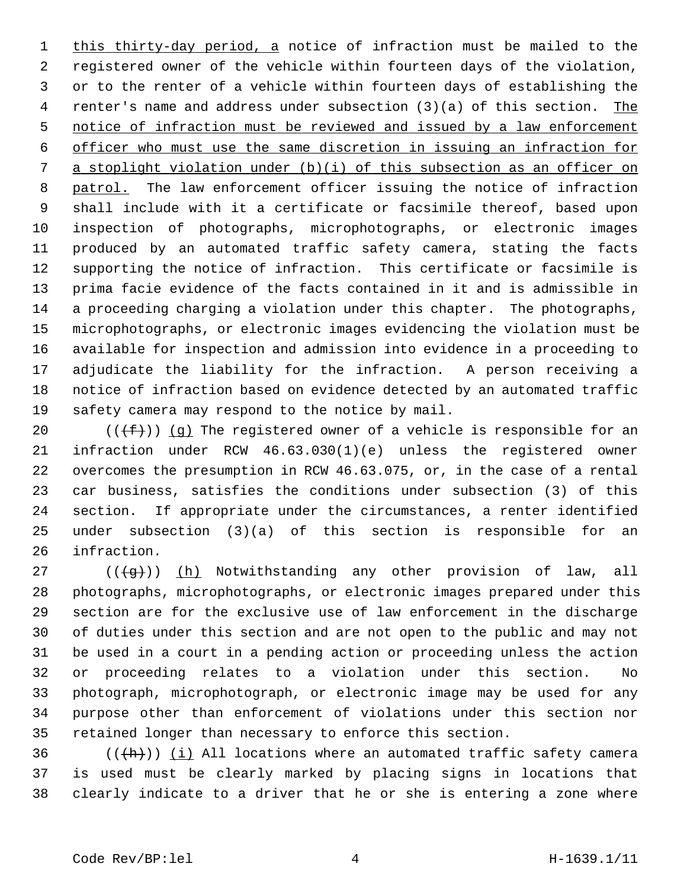1 this thirty-day period, a notice of infraction must be mailed to the 2 registered owner of the vehicle within fourteen days of the violation, 3 or to the renter of a vehicle within fourteen days of establishing the 4 renter's name and address under subsection (3)(a) of this section. The 5 notice of infraction must be reviewed and issued by a law enforcement 6 officer who must use the same discretion in issuing an infraction for 7 a stoplight violation under (b)(i) of this subsection as an officer on 8 patrol. The law enforcement officer issuing the notice of infraction 9 shall include with it a certificate or facsimile thereof, based upon 10 inspection of photographs, microphotographs, or electronic images 11 produced by an automated traffic safety camera, stating the facts 12 supporting the notice of infraction. This certificate or facsimile is 13 prima facie evidence of the facts contained in it and is admissible in 14 a proceeding charging a violation under this chapter. The photographs, 15 microphotographs, or electronic images evidencing the violation must be 16 available for inspection and admission into evidence in a proceeding to 17 adjudicate the liability for the infraction. A person receiving a 18 notice of infraction based on evidence detected by an automated traffic 19 safety camera may respond to the notice by mail.

20 ( $(\frac{f}{f})$ ) (g) The registered owner of a vehicle is responsible for an 21 infraction under RCW 46.63.030(1)(e) unless the registered owner 22 overcomes the presumption in RCW 46.63.075, or, in the case of a rental 23 car business, satisfies the conditions under subsection (3) of this 24 section. If appropriate under the circumstances, a renter identified 25 under subsection (3)(a) of this section is responsible for an 26 infraction.

27 ( $(\overline{q})$ ) (h) Notwithstanding any other provision of law, all 28 photographs, microphotographs, or electronic images prepared under this 29 section are for the exclusive use of law enforcement in the discharge 30 of duties under this section and are not open to the public and may not 31 be used in a court in a pending action or proceeding unless the action 32 or proceeding relates to a violation under this section. No 33 photograph, microphotograph, or electronic image may be used for any 34 purpose other than enforcement of violations under this section nor 35 retained longer than necessary to enforce this section.

36  $((+h))$  (i) All locations where an automated traffic safety camera 37 is used must be clearly marked by placing signs in locations that 38 clearly indicate to a driver that he or she is entering a zone where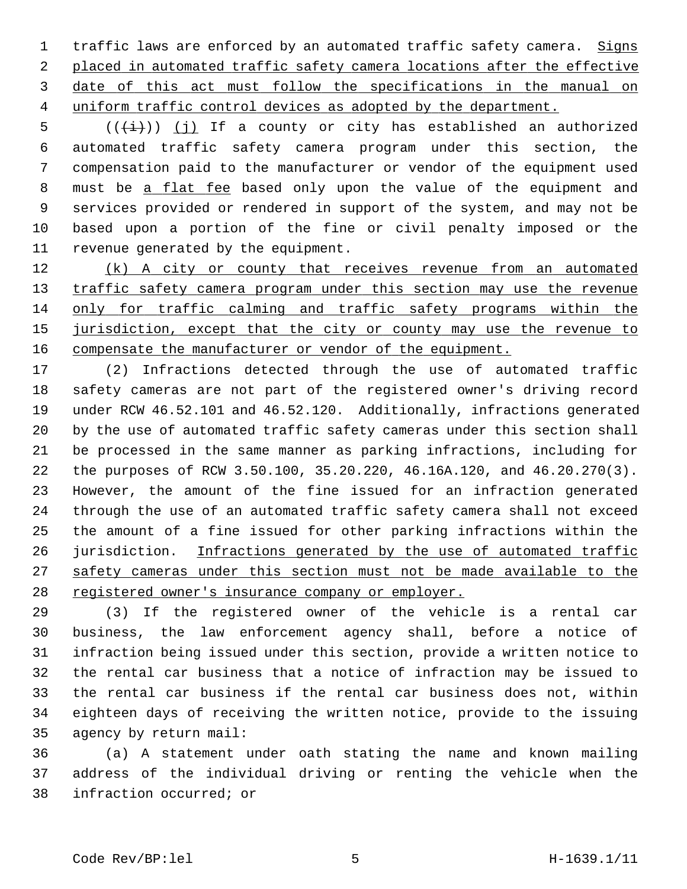1 traffic laws are enforced by an automated traffic safety camera. Signs placed in automated traffic safety camera locations after the effective date of this act must follow the specifications in the manual on uniform traffic control devices as adopted by the department.

5  $((\overleftrightarrow{t}))(j)$  If a county or city has established an authorized 6 automated traffic safety camera program under this section, the 7 compensation paid to the manufacturer or vendor of the equipment used 8 must be a flat fee based only upon the value of the equipment and 9 services provided or rendered in support of the system, and may not be 10 based upon a portion of the fine or civil penalty imposed or the 11 revenue generated by the equipment.

12 (k) A city or county that receives revenue from an automated 13 traffic safety camera program under this section may use the revenue 14 only for traffic calming and traffic safety programs within the 15 jurisdiction, except that the city or county may use the revenue to 16 compensate the manufacturer or vendor of the equipment.

17 (2) Infractions detected through the use of automated traffic 18 safety cameras are not part of the registered owner's driving record 19 under RCW 46.52.101 and 46.52.120. Additionally, infractions generated 20 by the use of automated traffic safety cameras under this section shall 21 be processed in the same manner as parking infractions, including for 22 the purposes of RCW 3.50.100, 35.20.220, 46.16A.120, and 46.20.270(3). 23 However, the amount of the fine issued for an infraction generated 24 through the use of an automated traffic safety camera shall not exceed 25 the amount of a fine issued for other parking infractions within the 26 jurisdiction. Infractions generated by the use of automated traffic 27 safety cameras under this section must not be made available to the 28 registered owner's insurance company or employer.

29 (3) If the registered owner of the vehicle is a rental car 30 business, the law enforcement agency shall, before a notice of 31 infraction being issued under this section, provide a written notice to 32 the rental car business that a notice of infraction may be issued to 33 the rental car business if the rental car business does not, within 34 eighteen days of receiving the written notice, provide to the issuing 35 agency by return mail:

36 (a) A statement under oath stating the name and known mailing 37 address of the individual driving or renting the vehicle when the 38 infraction occurred; or